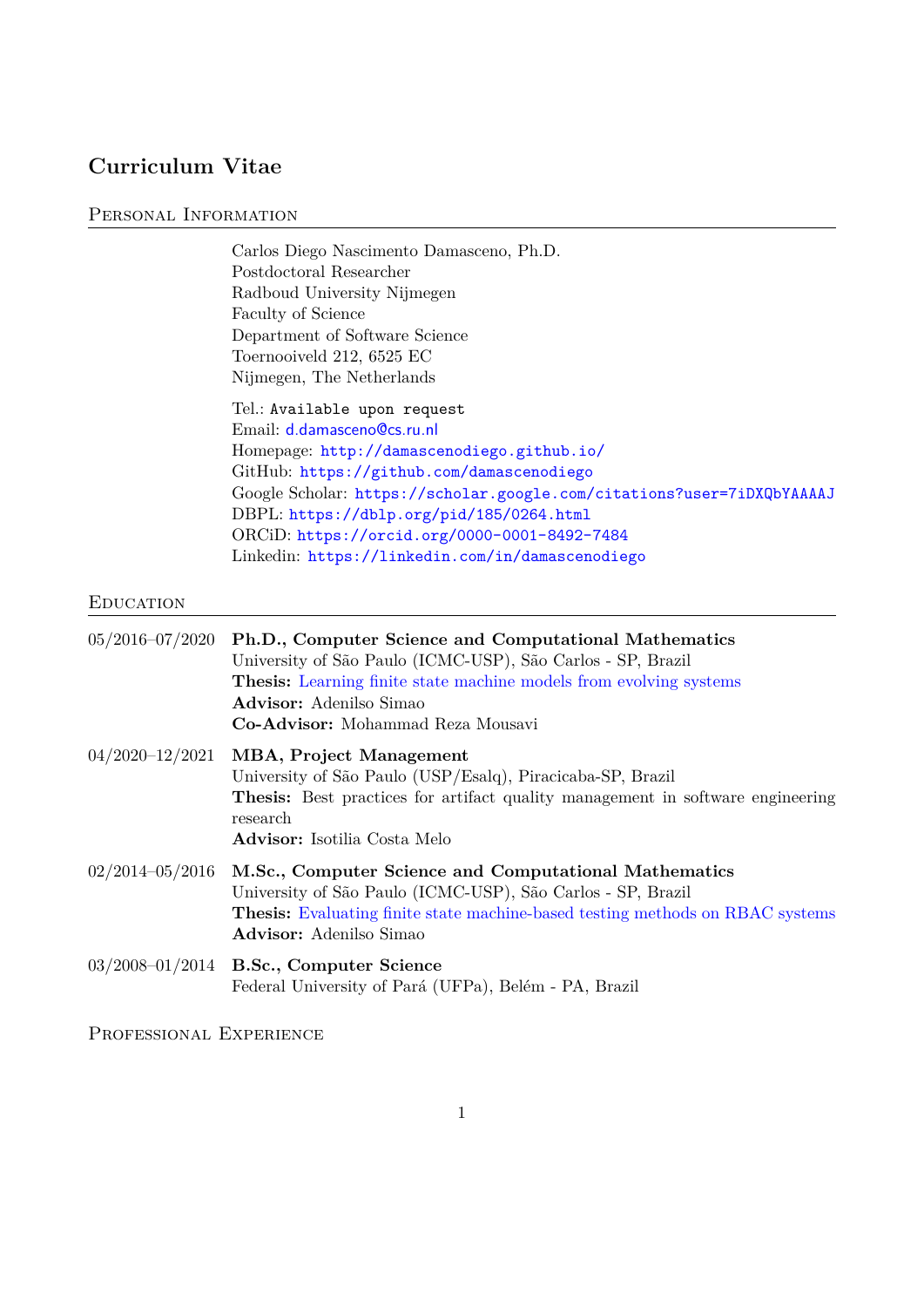# **Curriculum Vitae**

## PERSONAL INFORMATION

Carlos Diego Nascimento Damasceno, Ph.D. Postdoctoral Researcher Radboud University Nijmegen Faculty of Science Department of Software Science Toernooiveld 212, 6525 EC Nijmegen, The Netherlands

Tel.: Available upon request Email: [d.damasceno@cs.ru.nl](mailto:d.damasceno@cs.ru.nl) Homepage: <http://damascenodiego.github.io/> GitHub: <https://github.com/damascenodiego> Google Scholar: <https://scholar.google.com/citations?user=7iDXQbYAAAAJ> DBPL: <https://dblp.org/pid/185/0264.html> ORCiD: <https://orcid.org/0000-0001-8492-7484> Linkedin: <https://linkedin.com/in/damascenodiego>

# **EDUCATION**

| 05/2016-07/2020 Ph.D., Computer Science and Computational Mathematics<br>University of São Paulo (ICMC-USP), São Carlos - SP, Brazil<br><b>Thesis:</b> Learning finite state machine models from evolving systems<br><b>Advisor:</b> Adenilso Simao<br>Co-Advisor: Mohammad Reza Mousavi |
|------------------------------------------------------------------------------------------------------------------------------------------------------------------------------------------------------------------------------------------------------------------------------------------|
| $04/2020-12/2021$ MBA, Project Management<br>University of São Paulo (USP/Esalq), Piracicaba-SP, Brazil<br>Thesis: Best practices for artifact quality management in software engineering<br>research<br><b>Advisor:</b> Isotilia Costa Melo                                             |
| $02/2014-05/2016$ M.Sc., Computer Science and Computational Mathematics<br>University of São Paulo (ICMC-USP), São Carlos - SP, Brazil<br><b>Thesis:</b> Evaluating finite state machine-based testing methods on RBAC systems<br><b>Advisor:</b> Adenilso Simao                         |
| $03/2008 - 01/2014$ B.Sc., Computer Science<br>Federal University of Pará (UFPa), Belém - PA, Brazil                                                                                                                                                                                     |

Professional Experience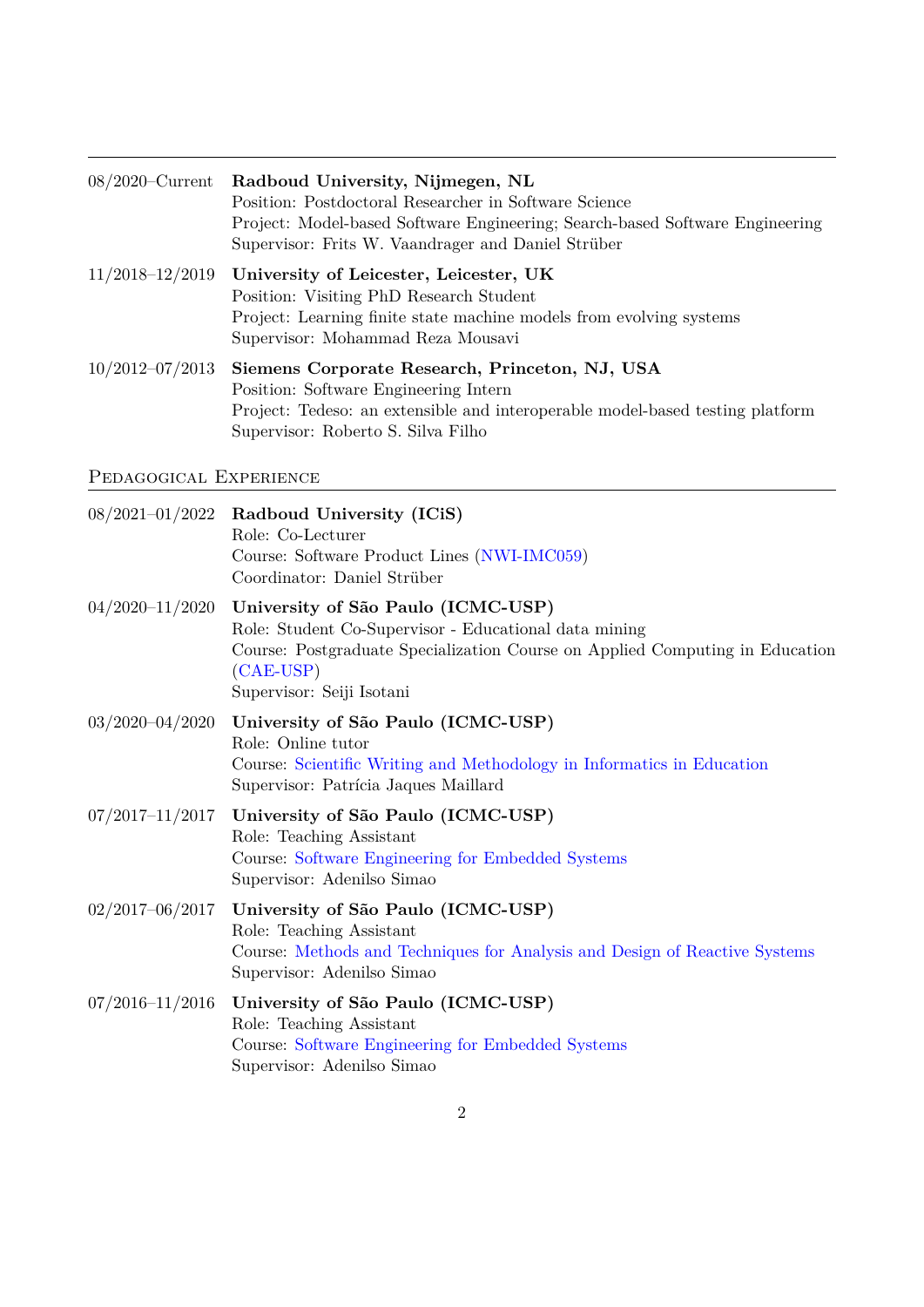|                     | 08/2020–Current Radboud University, Nijmegen, NL<br>Position: Postdoctoral Researcher in Software Science<br>Project: Model-based Software Engineering; Search-based Software Engineering<br>Supervisor: Frits W. Vaandrager and Daniel Strüber |
|---------------------|-------------------------------------------------------------------------------------------------------------------------------------------------------------------------------------------------------------------------------------------------|
|                     | $11/2018-12/2019$ University of Leicester, Leicester, UK<br>Position: Visiting PhD Research Student<br>Project: Learning finite state machine models from evolving systems<br>Supervisor: Mohammad Reza Mousavi                                 |
| $10/2012 - 07/2013$ | Siemens Corporate Research, Princeton, NJ, USA<br>Position: Software Engineering Intern<br>Project: Tedeso: an extensible and interoperable model-based testing platform<br>Supervisor: Roberto S. Silva Filho                                  |

# Pedagogical Experience

| $08/2021 - 01/2022$ | Radboud University (ICiS)<br>Role: Co-Lecturer<br>Course: Software Product Lines (NWI-IMC059)<br>Coordinator: Daniel Strüber                                                                                            |
|---------------------|-------------------------------------------------------------------------------------------------------------------------------------------------------------------------------------------------------------------------|
| $04/2020 - 11/2020$ | University of São Paulo (ICMC-USP)<br>Role: Student Co-Supervisor - Educational data mining<br>Course: Postgraduate Specialization Course on Applied Computing in Education<br>$(CAE-USP)$<br>Supervisor: Seiji Isotani |
| $03/2020 - 04/2020$ | University of São Paulo (ICMC-USP)<br>Role: Online tutor<br>Course: Scientific Writing and Methodology in Informatics in Education<br>Supervisor: Patrícia Jaques Maillard                                              |
| $07/2017 - 11/2017$ | University of São Paulo (ICMC-USP)<br>Role: Teaching Assistant<br>Course: Software Engineering for Embedded Systems<br>Supervisor: Adenilso Simao                                                                       |
| $02/2017 - 06/2017$ | University of São Paulo (ICMC-USP)<br>Role: Teaching Assistant<br>Course: Methods and Techniques for Analysis and Design of Reactive Systems<br>Supervisor: Adenilso Simao                                              |
| $07/2016 - 11/2016$ | University of São Paulo (ICMC-USP)<br>Role: Teaching Assistant<br>Course: Software Engineering for Embedded Systems<br>Supervisor: Adenilso Simao                                                                       |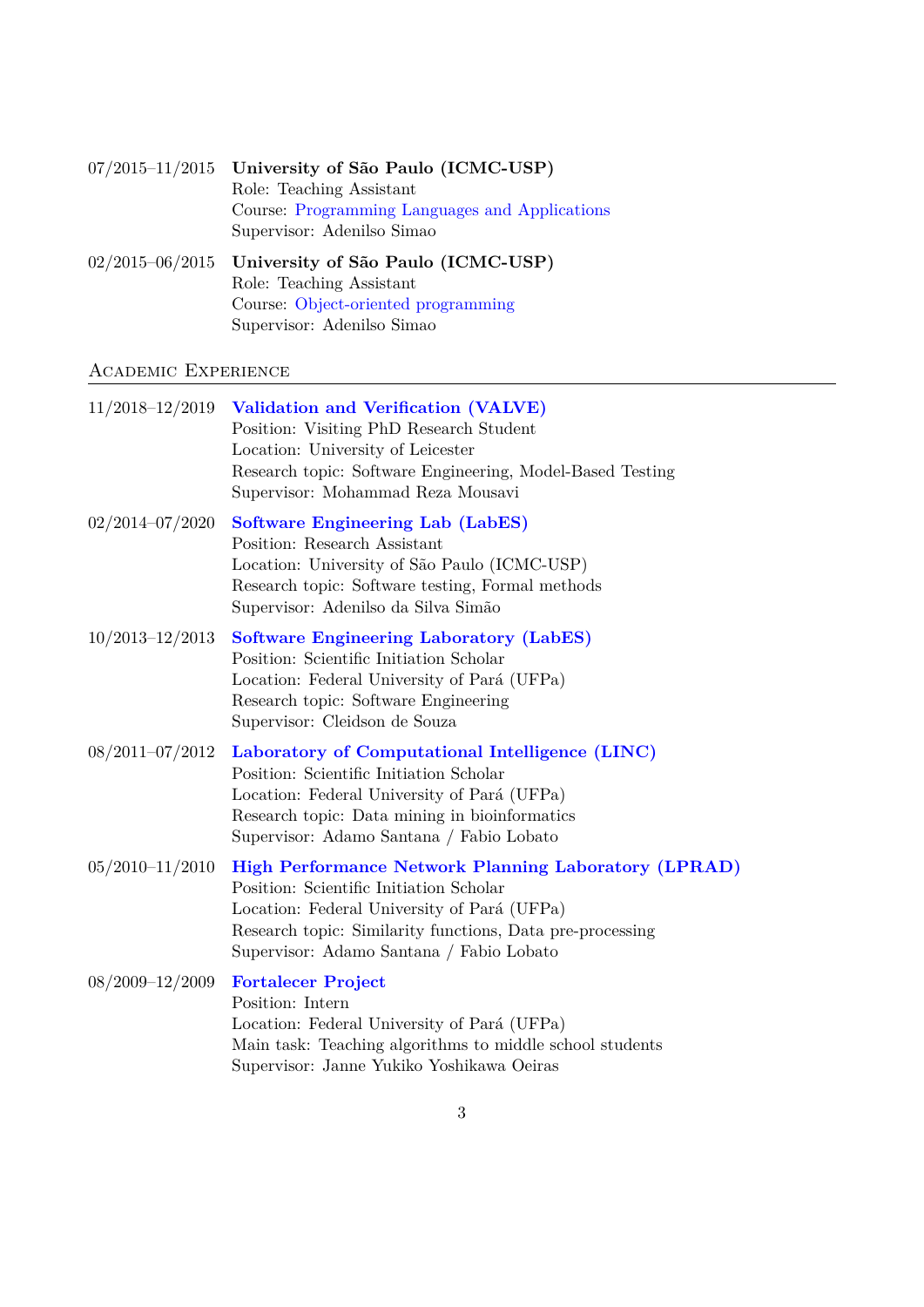| $07/2015-11/2015$ University of São Paulo (ICMC-USP) |
|------------------------------------------------------|
| Role: Teaching Assistant                             |
| Course: Programming Languages and Applications       |
| Supervisor: Adenilso Simao                           |
|                                                      |

02/2015–06/2015 **University of São Paulo (ICMC-USP)** Role: Teaching Assistant Course: [Object-oriented programming](https://uspdigital.usp.br/jupiterweb/obterDisciplina?sgldis=SSC0103) Supervisor: Adenilso Simao

# Academic Experience

| 11/2018-12/2019     | Validation and Verification (VALVE)<br>Position: Visiting PhD Research Student<br>Location: University of Leicester<br>Research topic: Software Engineering, Model-Based Testing<br>Supervisor: Mohammad Reza Mousavi                                          |
|---------------------|----------------------------------------------------------------------------------------------------------------------------------------------------------------------------------------------------------------------------------------------------------------|
| 02/2014-07/2020     | <b>Software Engineering Lab (LabES)</b><br>Position: Research Assistant<br>Location: University of São Paulo (ICMC-USP)<br>Research topic: Software testing, Formal methods<br>Supervisor: Adenilso da Silva Simão                                             |
| $10/2013 - 12/2013$ | <b>Software Engineering Laboratory (LabES)</b><br>Position: Scientific Initiation Scholar<br>Location: Federal University of Pará (UFPa)<br>Research topic: Software Engineering<br>Supervisor: Cleidson de Souza                                              |
| 08/2011-07/2012     | Laboratory of Computational Intelligence (LINC)<br>Position: Scientific Initiation Scholar<br>Location: Federal University of Pará (UFPa)<br>Research topic: Data mining in bioinformatics<br>Supervisor: Adamo Santana / Fabio Lobato                         |
| $05/2010 - 11/2010$ | <b>High Performance Network Planning Laboratory (LPRAD)</b><br>Position: Scientific Initiation Scholar<br>Location: Federal University of Pará (UFPa)<br>Research topic: Similarity functions, Data pre-processing<br>Supervisor: Adamo Santana / Fabio Lobato |
| 08/2009-12/2009     | <b>Fortalecer Project</b><br>Position: Intern<br>Location: Federal University of Pará (UFPa)<br>Main task: Teaching algorithms to middle school students<br>Supervisor: Janne Yukiko Yoshikawa Oeiras                                                          |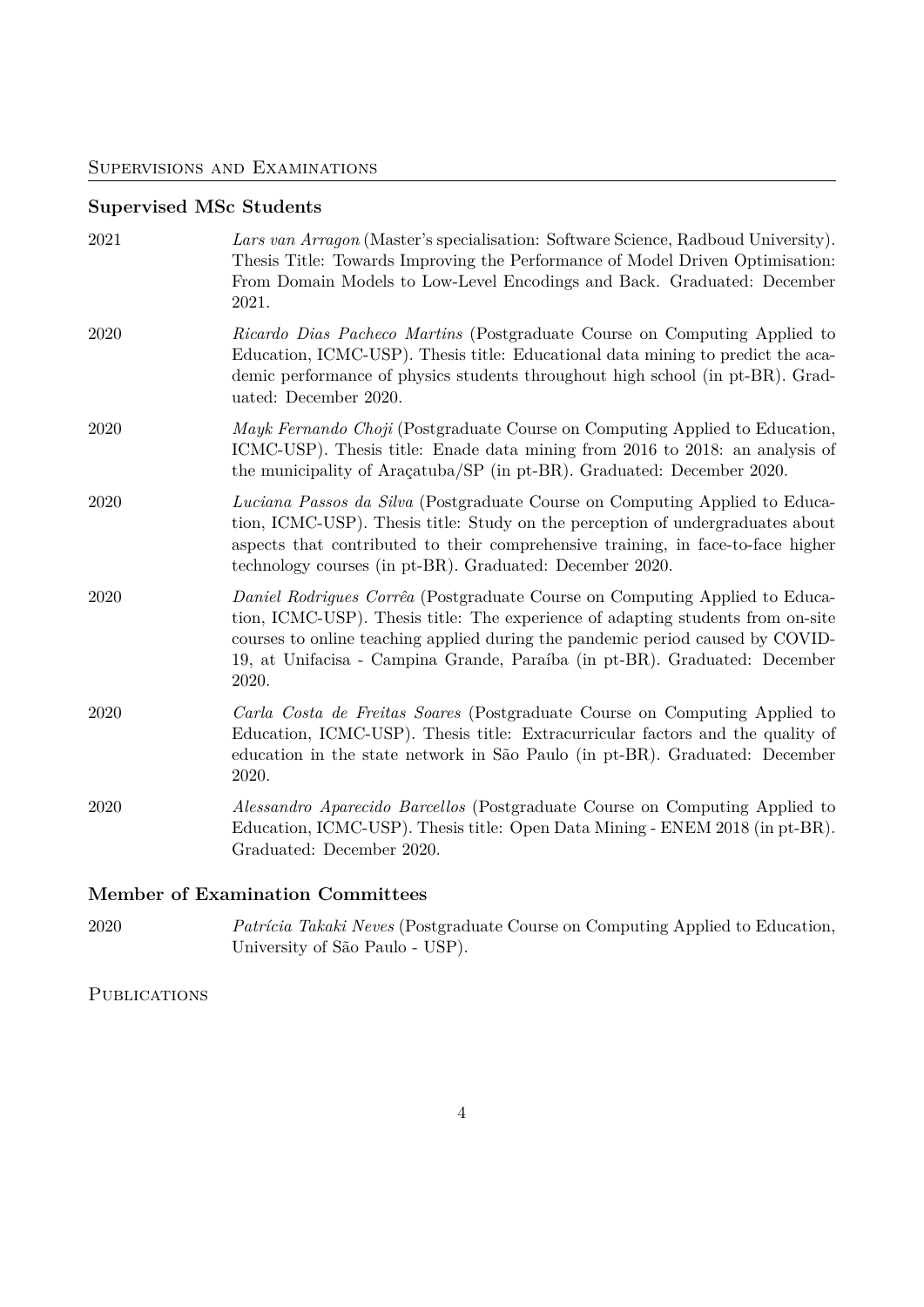## Supervisions and Examinations

# **Supervised MSc Students**

| 2021 | Lars van Arragon (Master's specialisation: Software Science, Radboud University).<br>Thesis Title: Towards Improving the Performance of Model Driven Optimisation:<br>From Domain Models to Low-Level Encodings and Back. Graduated: December<br>2021.                                                                                  |
|------|-----------------------------------------------------------------------------------------------------------------------------------------------------------------------------------------------------------------------------------------------------------------------------------------------------------------------------------------|
| 2020 | Ricardo Dias Pacheco Martins (Postgraduate Course on Computing Applied to<br>Education, ICMC-USP). Thesis title: Educational data mining to predict the aca-<br>demic performance of physics students throughout high school (in pt-BR). Grad-<br>uated: December 2020.                                                                 |
| 2020 | Mayk Fernando Choji (Postgraduate Course on Computing Applied to Education,<br>ICMC-USP). Thesis title: Enade data mining from 2016 to 2018: an analysis of<br>the municipality of Aracatuba/SP (in pt-BR). Graduated: December 2020.                                                                                                   |
| 2020 | Luciana Passos da Silva (Postgraduate Course on Computing Applied to Educa-<br>tion, ICMC-USP). Thesis title: Study on the perception of undergraduates about<br>aspects that contributed to their comprehensive training, in face-to-face higher<br>technology courses (in pt-BR). Graduated: December 2020.                           |
| 2020 | Daniel Rodrigues Corrêa (Postgraduate Course on Computing Applied to Educa-<br>tion, ICMC-USP). Thesis title: The experience of adapting students from on-site<br>courses to online teaching applied during the pandemic period caused by COVID-<br>19, at Unifacisa - Campina Grande, Paraíba (in pt-BR). Graduated: December<br>2020. |
| 2020 | Carla Costa de Freitas Soares (Postgraduate Course on Computing Applied to<br>Education, ICMC-USP). Thesis title: Extracurricular factors and the quality of<br>education in the state network in São Paulo (in pt-BR). Graduated: December<br>2020.                                                                                    |
| 2020 | <i>Alessandro Aparecido Barcellos</i> (Postgraduate Course on Computing Applied to<br>Education, ICMC-USP). Thesis title: Open Data Mining - ENEM 2018 (in pt-BR).<br>Graduated: December 2020.                                                                                                                                         |

# **Member of Examination Committees**

2020 *Patrícia Takaki Neves* (Postgraduate Course on Computing Applied to Education, University of São Paulo - USP).

**PUBLICATIONS**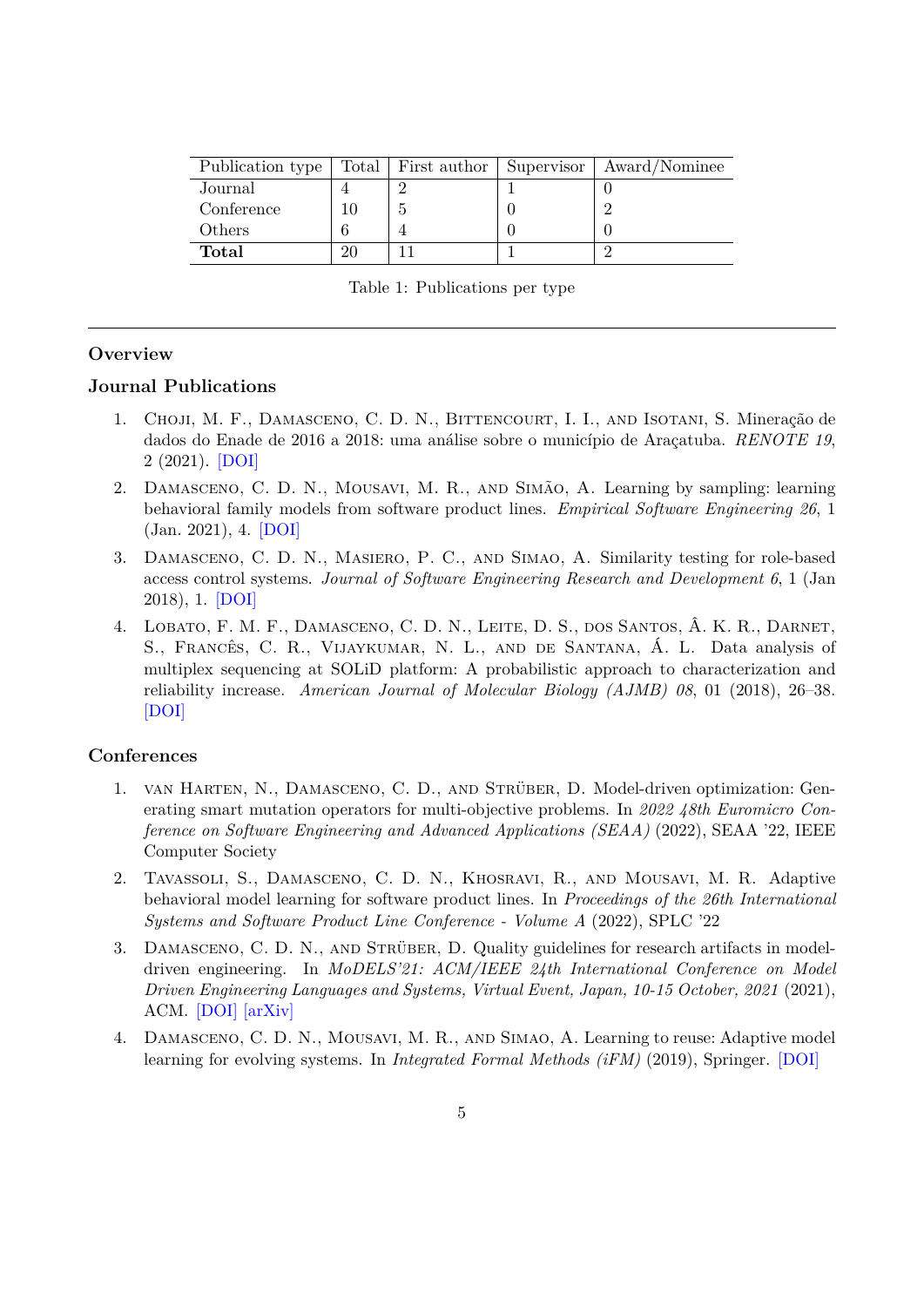| Publication type | Total   First author | Supervisor   Award/Nominee |
|------------------|----------------------|----------------------------|
| Journal          |                      |                            |
| Conference       |                      |                            |
| Others           |                      |                            |
| Total            |                      |                            |

Table 1: Publications per type

### **Overview**

## **Journal Publications**

- 1. Choji, M. F., Damasceno, C. D. N., Bittencourt, I. I., and Isotani, S. Mineração de dados do Enade de 2016 a 2018: uma análise sobre o município de Araçatuba. *RENOTE 19*, 2 (2021). [\[DOI\]](https://doi.org/10.22456/1679-1916.121204)
- 2. Damasceno, C. D. N., Mousavi, M. R., and Simão, A. Learning by sampling: learning behavioral family models from software product lines. *Empirical Software Engineering 26*, 1 (Jan. 2021), 4. [\[DOI\]](https://doi.org/10.1007/s10664-020-09912-w/)
- 3. Damasceno, C. D. N., Masiero, P. C., and Simao, A. Similarity testing for role-based access control systems. *Journal of Software Engineering Research and Development 6*, 1 (Jan 2018), 1. [\[DOI\]](https://doi.org/10.1186/s40411-017-0045-x)
- 4. Lobato, F. M. F., Damasceno, C. D. N., Leite, D. S., dos Santos, Â. K. R., Darnet, S., Francês, C. R., Vijaykumar, N. L., and de Santana, Á. L. Data analysis of multiplex sequencing at SOLiD platform: A probabilistic approach to characterization and reliability increase. *American Journal of Molecular Biology (AJMB) 08*, 01 (2018), 26–38. [\[DOI\]](https://doi.org/10.4236/ajmb.2018.81003)

### **Conferences**

- 1. van Harten, N., Damasceno, C. D., and Strüber, D. Model-driven optimization: Generating smart mutation operators for multi-objective problems. In *2022 48th Euromicro Conference on Software Engineering and Advanced Applications (SEAA)* (2022), SEAA '22, IEEE Computer Society
- 2. Tavassoli, S., Damasceno, C. D. N., Khosravi, R., and Mousavi, M. R. Adaptive behavioral model learning for software product lines. In *Proceedings of the 26th International Systems and Software Product Line Conference - Volume A* (2022), SPLC '22
- 3. Damasceno, C. D. N., and Strüber, D. Quality guidelines for research artifacts in modeldriven engineering. In *MoDELS'21: ACM/IEEE 24th International Conference on Model Driven Engineering Languages and Systems, Virtual Event, Japan, 10-15 October, 2021* (2021), ACM. [\[DOI\]](https://doi.org/10.1109/MODELS50736.2021.00036) [\[arXiv\]](https://arxiv.org/abs/2108.04652)
- 4. Damasceno, C. D. N., Mousavi, M. R., and Simao, A. Learning to reuse: Adaptive model learning for evolving systems. In *Integrated Formal Methods (iFM)* (2019), Springer. [\[DOI\]](https://doi.org/10.1007/978-3-030-34968-4_8)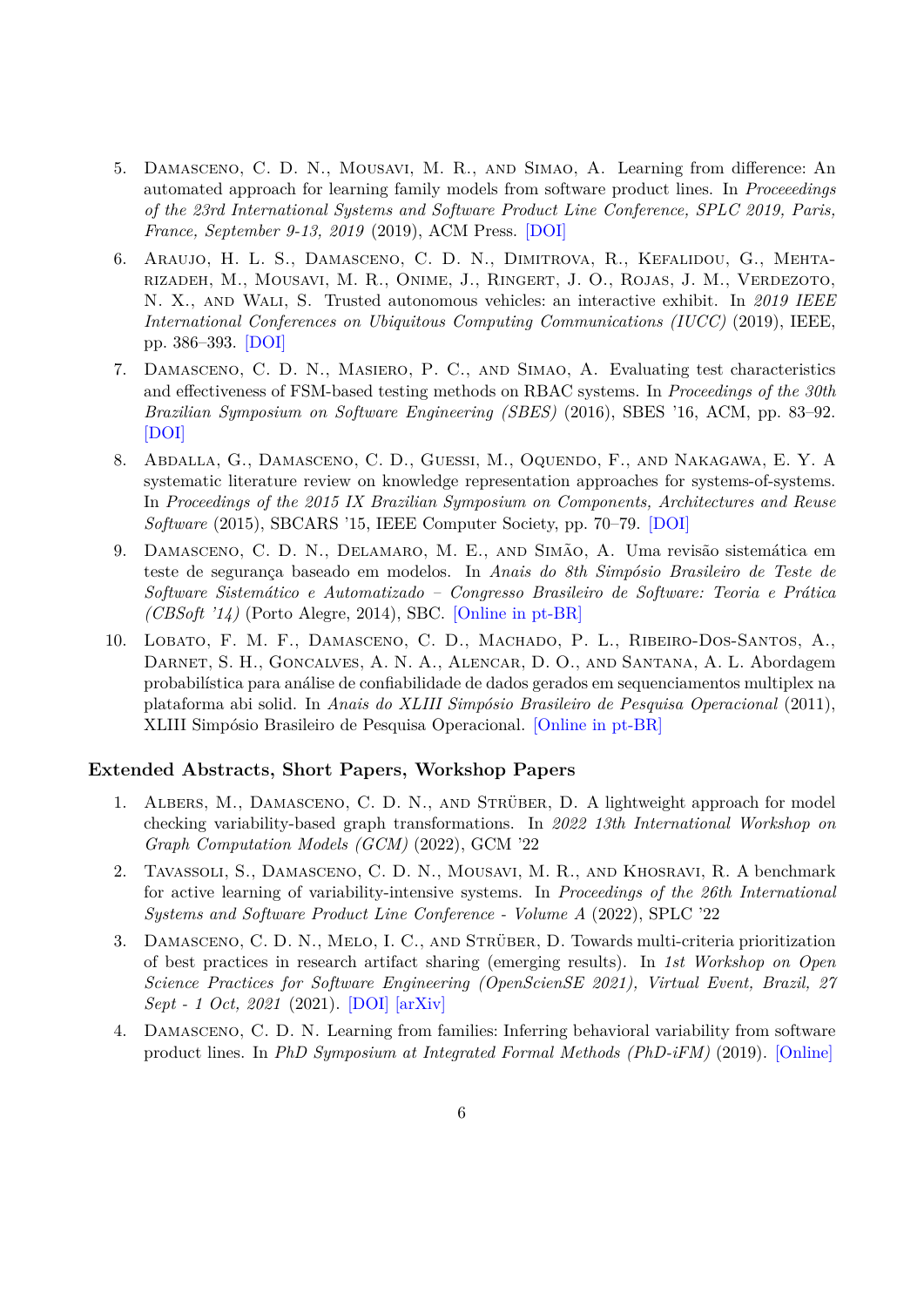- 5. Damasceno, C. D. N., Mousavi, M. R., and Simao, A. Learning from difference: An automated approach for learning family models from software product lines. In *Proceeedings of the 23rd International Systems and Software Product Line Conference, SPLC 2019, Paris, France, September 9-13, 2019* (2019), ACM Press. [\[DOI\]](https://doi.org/10.1145/3336294.3336307)
- 6. Araujo, H. L. S., Damasceno, C. D. N., Dimitrova, R., Kefalidou, G., Mehtarizadeh, M., Mousavi, M. R., Onime, J., Ringert, J. O., Rojas, J. M., Verdezoto, N. X., and Wali, S. Trusted autonomous vehicles: an interactive exhibit. In *2019 IEEE International Conferences on Ubiquitous Computing Communications (IUCC)* (2019), IEEE, pp. 386–393. [\[DOI\]](https://doi.org/10.1109/IUCC/DSCI/SmartCNS.2019.00091)
- 7. Damasceno, C. D. N., Masiero, P. C., and Simao, A. Evaluating test characteristics and effectiveness of FSM-based testing methods on RBAC systems. In *Proceedings of the 30th Brazilian Symposium on Software Engineering (SBES)* (2016), SBES '16, ACM, pp. 83–92. [\[DOI\]](http://doi.acm.org/10.1145/2973839.2973849)
- 8. Abdalla, G., Damasceno, C. D., Guessi, M., Oquendo, F., and Nakagawa, E. Y. A systematic literature review on knowledge representation approaches for systems-of-systems. In *Proceedings of the 2015 IX Brazilian Symposium on Components, Architectures and Reuse Software* (2015), SBCARS '15, IEEE Computer Society, pp. 70–79. [\[DOI\]](http://dx.doi.org/10.1109/SBCARS.2015.18)
- 9. Damasceno, C. D. N., Delamaro, M. E., and Simão, A. Uma revisão sistemática em teste de segurança baseado em modelos. In *Anais do 8th Simpósio Brasileiro de Teste de Software Sistemático e Automatizado – Congresso Brasileiro de Software: Teoria e Prática (CBSoft '14)* (Porto Alegre, 2014), SBC. [\[Online in pt-BR\]](http://sast2014.computacao.ufcg.edu.br/program)
- 10. Lobato, F. M. F., Damasceno, C. D., Machado, P. L., Ribeiro-Dos-Santos, A., Darnet, S. H., Goncalves, A. N. A., Alencar, D. O., and Santana, A. L. Abordagem probabilística para análise de confiabilidade de dados gerados em sequenciamentos multiplex na plataforma abi solid. In *Anais do XLIII Simpósio Brasileiro de Pesquisa Operacional* (2011), XLIII Simpósio Brasileiro de Pesquisa Operacional. [\[Online in pt-BR\]](http://www.din.uem.br/sbpo/sbpo2011/pdf/87903.pdf)

#### **Extended Abstracts, Short Papers, Workshop Papers**

- 1. Albers, M., Damasceno, C. D. N., and Strüber, D. A lightweight approach for model checking variability-based graph transformations. In *2022 13th International Workshop on Graph Computation Models (GCM)* (2022), GCM '22
- 2. Tavassoli, S., Damasceno, C. D. N., Mousavi, M. R., and Khosravi, R. A benchmark for active learning of variability-intensive systems. In *Proceedings of the 26th International Systems and Software Product Line Conference - Volume A* (2022), SPLC '22
- 3. Damasceno, C. D. N., Melo, I. C., and Strüber, D. Towards multi-criteria prioritization of best practices in research artifact sharing (emerging results). In *1st Workshop on Open Science Practices for Software Engineering (OpenScienSE 2021), Virtual Event, Brazil, 27 Sept - 1 Oct, 2021* (2021). [\[DOI\]](https://doi.org/10.5753/opensciense.2021.17137) [\[arXiv\]](https://arxiv.org/abs/2109.02304)
- 4. Damasceno, C. D. N. Learning from families: Inferring behavioral variability from software product lines. In *PhD Symposium at Integrated Formal Methods (PhD-iFM)* (2019). [\[Online\]](https://doi.org/10.1007/978-3-030-34968-4_8)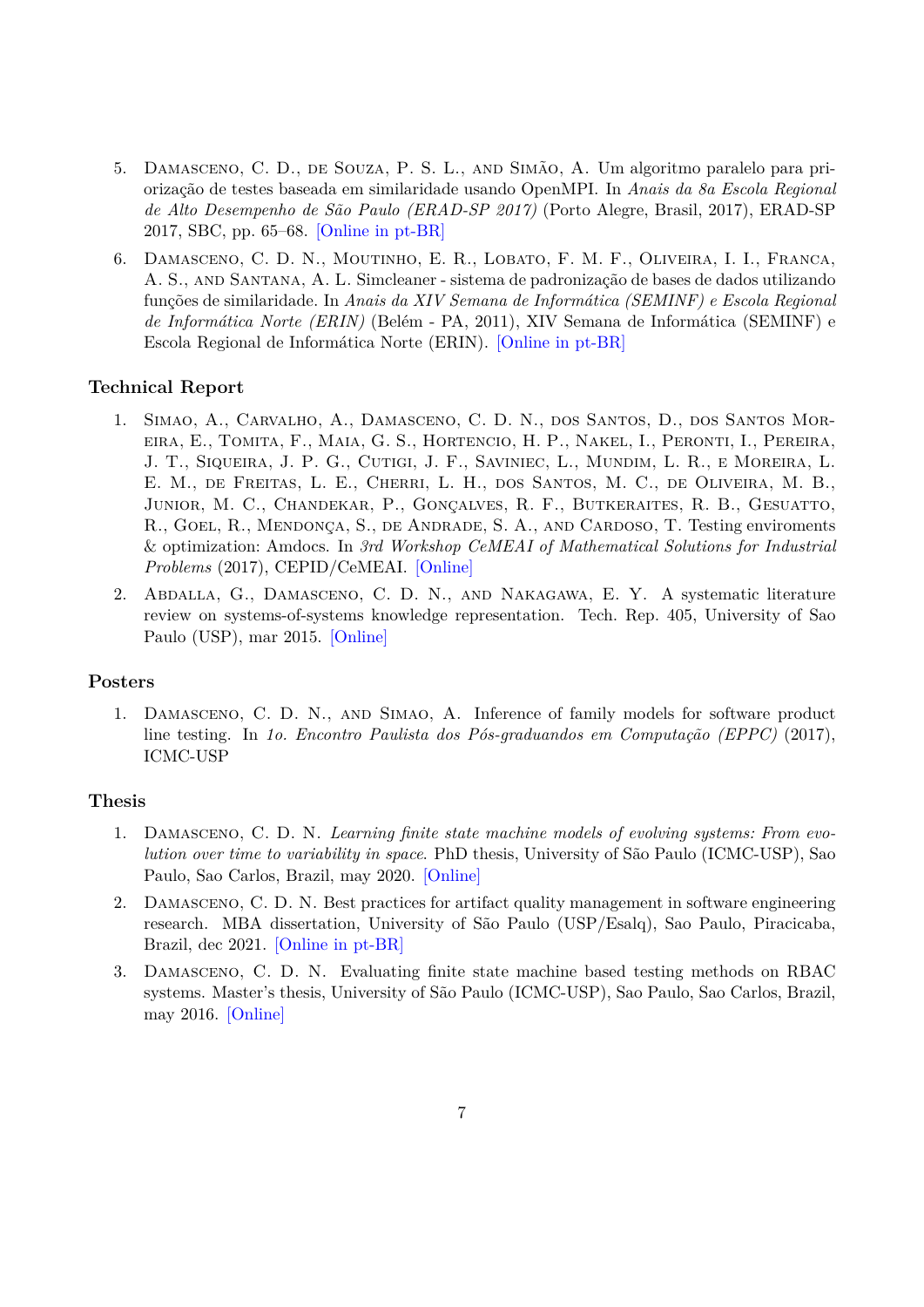- 5. Damasceno, C. D., de Souza, P. S. L., and Simão, A. Um algoritmo paralelo para priorização de testes baseada em similaridade usando OpenMPI. In *Anais da 8a Escola Regional de Alto Desempenho de São Paulo (ERAD-SP 2017)* (Porto Alegre, Brasil, 2017), ERAD-SP 2017, SBC, pp. 65–68. [\[Online in pt-BR\]](http://www.lbd.dcc.ufmg.br/bdbcomp/servlet/Trabalho?id=25703)
- 6. Damasceno, C. D. N., Moutinho, E. R., Lobato, F. M. F., Oliveira, I. I., Franca, A. S., and Santana, A. L. Simcleaner - sistema de padronização de bases de dados utilizando funções de similaridade. In *Anais da XIV Semana de Informática (SEMINF) e Escola Regional de Informática Norte (ERIN)* (Belém - PA, 2011), XIV Semana de Informática (SEMINF) e Escola Regional de Informática Norte (ERIN). [\[Online in pt-BR\]](http://www.lbd.dcc.ufmg.br/colecoes/ein/2011/Artigo_14.pdf)

### **Technical Report**

- 1. Simao, A., Carvalho, A., Damasceno, C. D. N., dos Santos, D., dos Santos Moreira, E., Tomita, F., Maia, G. S., Hortencio, H. P., Nakel, I., Peronti, I., Pereira, J. T., Siqueira, J. P. G., Cutigi, J. F., Saviniec, L., Mundim, L. R., e Moreira, L. E. M., de Freitas, L. E., Cherri, L. H., dos Santos, M. C., de Oliveira, M. B., Junior, M. C., Chandekar, P., Gonçalves, R. F., Butkeraites, R. B., Gesuatto, R., Goel, R., Mendonça, S., de Andrade, S. A., and Cardoso, T. Testing enviroments & optimization: Amdocs. In *3rd Workshop CeMEAI of Mathematical Solutions for Industrial Problems* (2017), CEPID/CeMEAI. [\[Online\]](https://drive.google.com/file/d/1DxkyPkkUqPZaHIHDtgYYrZ_wAEC6fbk2/view)
- 2. Abdalla, G., Damasceno, C. D. N., and Nakagawa, E. Y. A systematic literature review on systems-of-systems knowledge representation. Tech. Rep. 405, University of Sao Paulo (USP), mar 2015. [\[Online\]](https://repositorio.usp.br/item/002694492)

#### **Posters**

1. Damasceno, C. D. N., and Simao, A. Inference of family models for software product line testing. In *1o. Encontro Paulista dos Pós-graduandos em Computação (EPPC)* (2017), ICMC-USP

#### **Thesis**

- 1. Damasceno, C. D. N. *Learning finite state machine models of evolving systems: From evolution over time to variability in space*. PhD thesis, University of São Paulo (ICMC-USP), Sao Paulo, Sao Carlos, Brazil, may 2020. [\[Online\]](https://www.teses.usp.br/teses/disponiveis/55/55134/tde-02092020-091958/)
- 2. Damasceno, C. D. N. Best practices for artifact quality management in software engineering research. MBA dissertation, University of São Paulo (USP/Esalq), Sao Paulo, Piracicaba, Brazil, dec 2021. [\[Online in pt-BR\]](https://damascenodiego.github.io/assets/pdf/damasceno_mba_tcc.pdf)
- 3. Damasceno, C. D. N. Evaluating finite state machine based testing methods on RBAC systems. Master's thesis, University of São Paulo (ICMC-USP), Sao Paulo, Sao Carlos, Brazil, may 2016. [\[Online\]](http://www.teses.usp.br/teses/disponiveis/55/55134/tde-11112016-101158/en.php)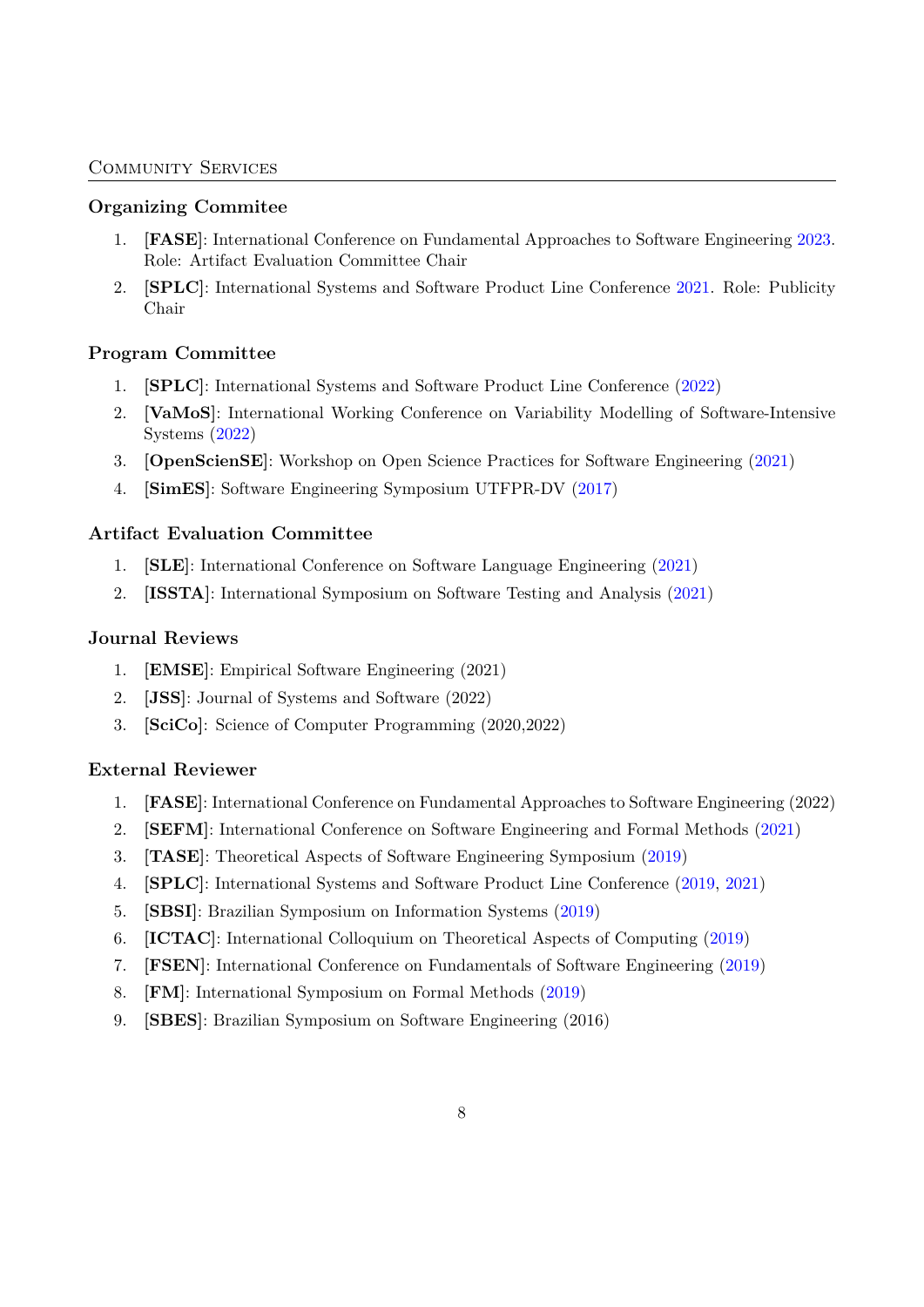### Community Services

## **Organizing Commitee**

- 1. **[FASE]**: International Conference on Fundamental Approaches to Software Engineering [2023.](https://etaps.org/2022/fase) Role: Artifact Evaluation Committee Chair
- 2. **[SPLC]**: International Systems and Software Product Line Conference [2021.](https://doi.org/10.1145/3461001) Role: Publicity Chair

## **Program Committee**

- 1. **[SPLC]**: International Systems and Software Product Line Conference ([2022\)](http://2022.splc.net/committees/program-committees/)
- 2. **[VaMoS]**: International Working Conference on Variability Modelling of Software-Intensive Systems [\(2022](https://vamos2022.isti.cnr.it/vamosorganisation))
- 3. **[OpenScienSE]**: Workshop on Open Science Practices for Software Engineering [\(2021](https://opensciense.github.io/opensciense2021/committee.html))
- 4. **[SimES]**: Software Engineering Symposium UTFPR-DV [\(2017](https://easychair.org/cfp/SimES2017))

## **Artifact Evaluation Committee**

- 1. **[SLE]**: International Conference on Software Language Engineering ([2021\)](https://conf.researchr.org/committee/sle-2021/sle-2021-papers-artifact-evaluation-committee)
- 2. **[ISSTA]**: International Symposium on Software Testing and Analysis ([2021\)](https://conf.researchr.org/committee/issta-2021/issta-2021-artifact-evaluation-artifact-evaluation-committee)

## **Journal Reviews**

- 1. **[EMSE]**: Empirical Software Engineering (2021)
- 2. **[JSS]**: Journal of Systems and Software (2022)
- 3. **[SciCo]**: Science of Computer Programming (2020,2022)

## **External Reviewer**

- 1. **[FASE]**: International Conference on Fundamental Approaches to Software Engineering (2022)
- 2. **[SEFM]**: International Conference on Software Engineering and Formal Methods [\(2021](https://doi.org/10.1007/978-3-030-92124-8))
- 3. **[TASE]**: Theoretical Aspects of Software Engineering Symposium [\(2019](https://ieeexplore.ieee.org/xpl/conhome/8905921/proceeding))
- 4. **[SPLC]**: International Systems and Software Product Line Conference ([2019,](https://doi.org/10.1145/3336294) [2021](https://doi.org/10.1145/3461001))
- 5. **[SBSI]**: Brazilian Symposium on Information Systems ([2019\)](https://doi.org/10.1145/3330204)
- 6. **[ICTAC]**: International Colloquium on Theoretical Aspects of Computing [\(2019](https://doi.org/10.1007/978-3-030-32505-3))
- 7. **[FSEN]**: International Conference on Fundamentals of Software Engineering ([2019](https://doi.org/10.1007/978-3-030-31517-7))
- 8. **[FM]**: International Symposium on Formal Methods ([2019\)](https://doi.org/10.1007/978-3-030-30942-8)
- 9. **[SBES]**: Brazilian Symposium on Software Engineering (2016)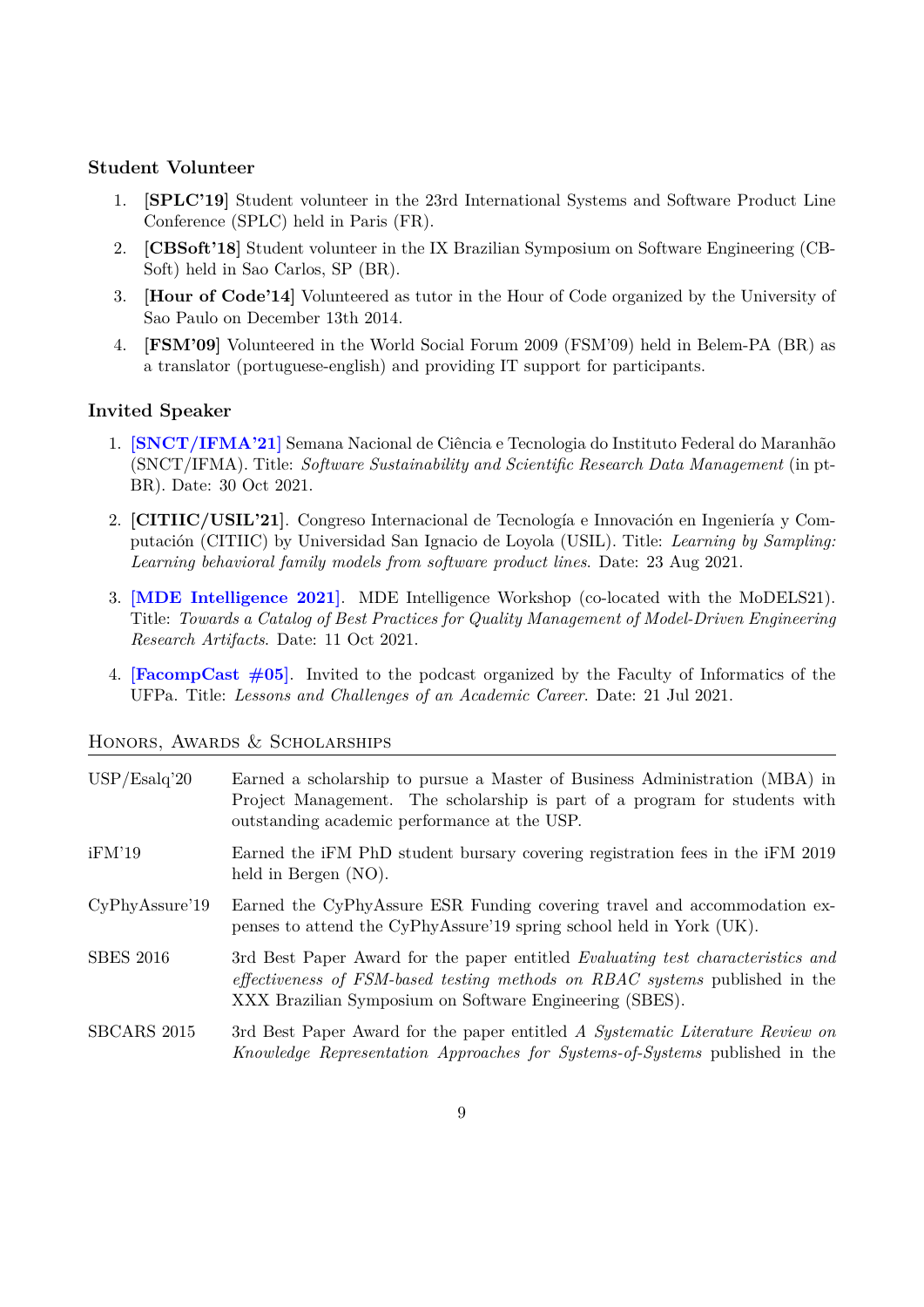# **Student Volunteer**

- 1. **[SPLC'19]** Student volunteer in the 23rd International Systems and Software Product Line Conference (SPLC) held in Paris (FR).
- 2. **[CBSoft'18]** Student volunteer in the IX Brazilian Symposium on Software Engineering (CB-Soft) held in Sao Carlos, SP (BR).
- 3. **[Hour of Code'14]** Volunteered as tutor in the Hour of Code organized by the University of Sao Paulo on December 13th 2014.
- 4. **[FSM'09]** Volunteered in the World Social Forum 2009 (FSM'09) held in Belem-PA (BR) as a translator (portuguese-english) and providing IT support for participants.

### **Invited Speaker**

- 1. **[\[SNCT/IFMA'21\]](https://www.youtube.com/watch?v=Lb7bTvAYWYo)** Semana Nacional de Ciência e Tecnologia do Instituto Federal do Maranhão (SNCT/IFMA). Title: *Software Sustainability and Scientific Research Data Management* (in pt-BR). Date: 30 Oct 2021.
- 2. **[CITIIC/USIL'21]**. Congreso Internacional de Tecnología e Innovación en Ingeniería y Computación (CITIIC) by Universidad San Ignacio de Loyola (USIL). Title: *Learning by Sampling: Learning behavioral family models from software product lines*. Date: 23 Aug 2021.
- 3. **[\[MDE Intelligence 2021\]](https://mde-intelligence.github.io/#:~:text=Lightning%20talk%202.-,Diego%20Damasceno)**. MDE Intelligence Workshop (co-located with the MoDELS21). Title: *Towards a Catalog of Best Practices for Quality Management of Model-Driven Engineering Research Artifacts*. Date: 11 Oct 2021.
- 4. **[\[FacompCast #05\]](https://open.spotify.com/episode/68guW2ghHrIi7wvFd8S7i8)**. Invited to the podcast organized by the Faculty of Informatics of the UFPa. Title: *Lessons and Challenges of an Academic Career*. Date: 21 Jul 2021.

| USP/Esalq'20     | Earned a scholarship to pursue a Master of Business Administration (MBA) in<br>Project Management. The scholarship is part of a program for students with<br>outstanding academic performance at the USP.                 |
|------------------|---------------------------------------------------------------------------------------------------------------------------------------------------------------------------------------------------------------------------|
| iFM'19           | Earned the iFM PhD student bursary covering registration fees in the iFM 2019<br>held in Bergen (NO).                                                                                                                     |
| CyPhyAssure'19   | Earned the CyPhyAssure ESR Funding covering travel and accommodation ex-<br>penses to attend the CyPhyAssure'19 spring school held in York (UK).                                                                          |
| <b>SBES 2016</b> | 3rd Best Paper Award for the paper entitled Evaluating test characteristics and<br>effectiveness of FSM-based testing methods on RBAC systems published in the<br>XXX Brazilian Symposium on Software Engineering (SBES). |
| SBCARS 2015      | 3rd Best Paper Award for the paper entitled A Systematic Literature Review on<br>Knowledge Representation Approaches for Systems-of-Systems published in the                                                              |

#### Honors, Awards & Scholarships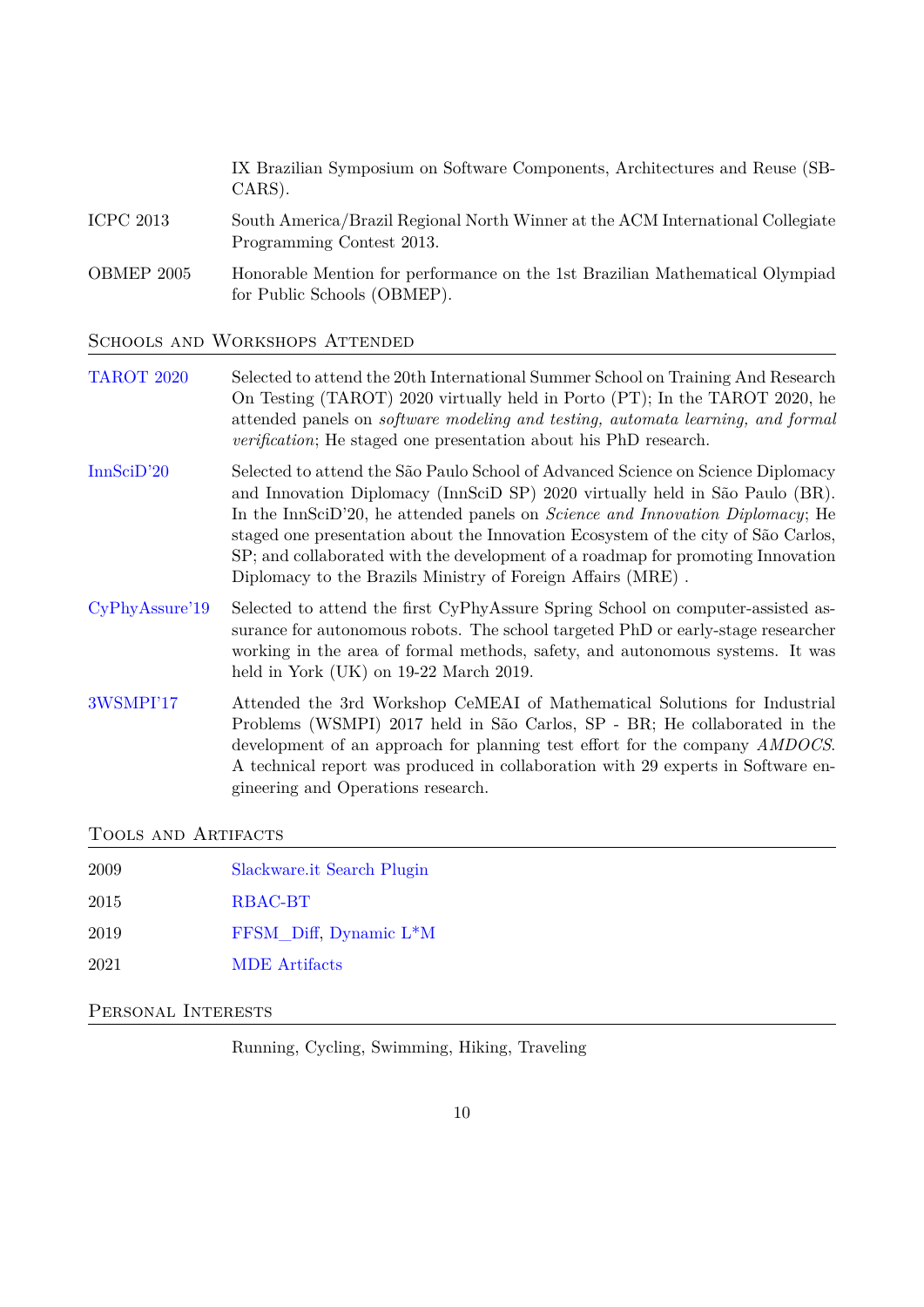|                  | IX Brazilian Symposium on Software Components, Architectures and Reuse (SB-<br>$CARS$ ).                    |
|------------------|-------------------------------------------------------------------------------------------------------------|
| <b>ICPC 2013</b> | South America/Brazil Regional North Winner at the ACM International Collegiate<br>Programming Contest 2013. |
| OBMEP 2005       | Honorable Mention for performance on the 1st Brazilian Mathematical Olympiad<br>for Public Schools (OBMEP). |

SCHOOLS AND WORKSHOPS ATTENDED

| <b>TAROT 2020</b> | Selected to attend the 20th International Summer School on Training And Research<br>On Testing (TAROT) 2020 virtually held in Porto (PT); In the TAROT 2020, he<br>attended panels on <i>software modeling and testing, automata learning, and formal</i><br><i>verification</i> ; He staged one presentation about his PhD research.                                                                                                                                                            |
|-------------------|--------------------------------------------------------------------------------------------------------------------------------------------------------------------------------------------------------------------------------------------------------------------------------------------------------------------------------------------------------------------------------------------------------------------------------------------------------------------------------------------------|
| InnSciD'20        | Selected to attend the São Paulo School of Advanced Science on Science Diplomacy<br>and Innovation Diplomacy (InnSciD SP) 2020 virtually held in São Paulo (BR).<br>In the InnSciD'20, he attended panels on <i>Science and Innovation Diplomacy</i> ; He<br>staged one presentation about the Innovation Ecosystem of the city of São Carlos,<br>SP; and collaborated with the development of a roadmap for promoting Innovation<br>Diplomacy to the Brazils Ministry of Foreign Affairs (MRE). |
| CyPhyAssure'19    | Selected to attend the first CyPhyAssure Spring School on computer-assisted as-<br>surance for autonomous robots. The school targeted PhD or early-stage researcher<br>working in the area of formal methods, safety, and autonomous systems. It was<br>held in York $(UK)$ on 19-22 March 2019.                                                                                                                                                                                                 |
| 3WSMPI'17         | Attended the 3rd Workshop CeMEAI of Mathematical Solutions for Industrial<br>Problems (WSMPI) 2017 held in São Carlos, SP - BR; He collaborated in the<br>development of an approach for planning test effort for the company AMDOCS.<br>A technical report was produced in collaboration with 29 experts in Software en-<br>gineering and Operations research.                                                                                                                                  |

TOOLS AND ARTIFACTS

| 2009 | Slackware.it Search Plugin          |
|------|-------------------------------------|
| 2015 | RBAC-BT                             |
| 2019 | FFSM Diff, Dynamic L <sup>*</sup> M |
| 2021 | <b>MDE</b> Artifacts                |
|      |                                     |

Personal Interests

Running, Cycling, Swimming, Hiking, Traveling